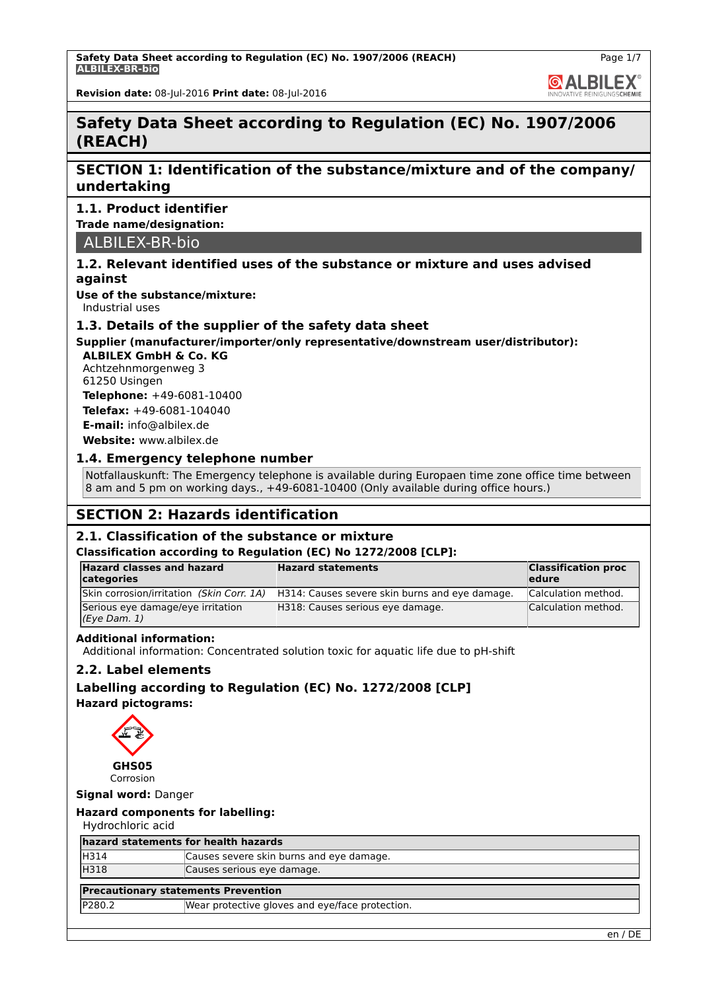**GALBILEX** 

**Revision date:** 08-Jul-2016 **Print date:** 08-Jul-2016

## **Safety Data Sheet according to Regulation (EC) No. 1907/2006 (REACH)**

## **SECTION 1: Identification of the substance/mixture and of the company/ undertaking**

## **1.1. Product identifier**

**Trade name/designation:**

ALBILEX-BR-bio

## **1.2. Relevant identified uses of the substance or mixture and uses advised against**

**Use of the substance/mixture:**

Industrial uses

## **1.3. Details of the supplier of the safety data sheet**

## **Supplier (manufacturer/importer/only representative/downstream user/distributor):**

**ALBILEX GmbH & Co. KG** Achtzehnmorgenweg 3 61250 Usingen

**Telephone:** +49-6081-10400 **Telefax:** +49-6081-104040 **E-mail:** info@albilex.de

**Website:** www.albilex.de

## **1.4. Emergency telephone number**

Notfallauskunft: The Emergency telephone is available during Europaen time zone office time between 8 am and 5 pm on working days., +49-6081-10400 (Only available during office hours.)

## **SECTION 2: Hazards identification**

## **2.1. Classification of the substance or mixture**

#### **Classification according to Regulation (EC) No 1272/2008 [CLP]:**

| <b>Hazard classes and hazard</b><br>categories    | <b>Hazard statements</b>                       | <b>Classification proc</b><br>ledure |
|---------------------------------------------------|------------------------------------------------|--------------------------------------|
| Skin corrosion/irritation (Skin Corr. 1A)         | H314: Causes severe skin burns and eye damage. | Calculation method.                  |
| Serious eye damage/eye irritation<br>(Eye Dam. 1) | H318: Causes serious eye damage.               | Calculation method.                  |

## **Additional information:**

Additional information: Concentrated solution toxic for aquatic life due to pH-shift

## **2.2. Label elements**

**Labelling according to Regulation (EC) No. 1272/2008 [CLP] Hazard pictograms:**



**Signal word:** Danger

## **Hazard components for labelling:**

Hydrochloric acid

| hazard statements for health hazards       |                                                 |
|--------------------------------------------|-------------------------------------------------|
| H314                                       | Causes severe skin burns and eye damage.        |
| <b>H318</b>                                | Causes serious eye damage.                      |
| <b>Precautionary statements Prevention</b> |                                                 |
| <b>IP280.2</b>                             | Wear protective gloves and eye/face protection. |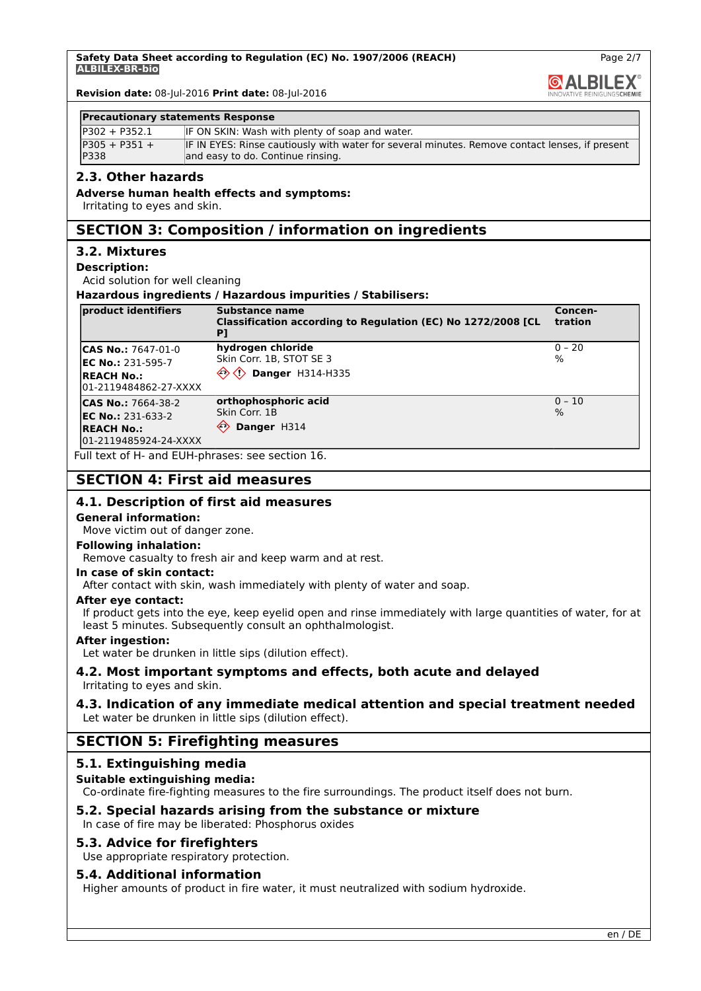**GALBILEX** 

Page 2/7

**Revision date:** 08-Jul-2016 **Print date:** 08-Jul-2016

#### **Precautionary statements Response**

| IP302 + P352.1                 | IF ON SKIN: Wash with plenty of soap and water.                                                                                     |
|--------------------------------|-------------------------------------------------------------------------------------------------------------------------------------|
| $P305 + P351 +$<br><b>P338</b> | IF IN EYES: Rinse cautiously with water for several minutes. Remove contact lenses, if present<br>and easy to do. Continue rinsing. |

## **2.3. Other hazards**

#### **Adverse human health effects and symptoms:**

Irritating to eyes and skin.

## **SECTION 3: Composition / information on ingredients**

## **3.2. Mixtures**

#### **Description:**

Acid solution for well cleaning

#### **Hazardous ingredients / Hazardous impurities / Stabilisers:**

| product identifiers                                                        | <b>Substance name</b><br>Classification according to Regulation (EC) No 1272/2008 [CL<br>PI | Concen-<br>tration          |
|----------------------------------------------------------------------------|---------------------------------------------------------------------------------------------|-----------------------------|
| <b>CAS No.: 7647-01-0</b><br>$EC No.: 231-595-7$                           | hydrogen chloride<br>Skin Corr. 1B, STOT SE 3                                               | $0 - 20$<br>$\frac{9}{6}$   |
| <b>IREACH No.:</b><br>01-2119484862-27-XXXX                                | <b>Danger H314-H335</b>                                                                     |                             |
| <b>CAS No.: 7664-38-2</b><br><b>EC No.: 231-633-2</b><br><b>REACH No.:</b> | orthophosphoric acid<br>Skin Corr. 1B<br>$\leftrightarrow$<br>Danger H314                   | $ 0 - 10 $<br>$\frac{9}{6}$ |
| 01-2119485924-24-XXXX                                                      |                                                                                             |                             |

Full text of H- and EUH-phrases: see section 16.

## **SECTION 4: First aid measures**

### **4.1. Description of first aid measures**

#### **General information:**

Move victim out of danger zone.

#### **Following inhalation:**

Remove casualty to fresh air and keep warm and at rest.

#### **In case of skin contact:**

After contact with skin, wash immediately with plenty of water and soap.

#### **After eye contact:**

If product gets into the eye, keep eyelid open and rinse immediately with large quantities of water, for at least 5 minutes. Subsequently consult an ophthalmologist.

#### **After ingestion:**

Let water be drunken in little sips (dilution effect).

# **4.2. Most important symptoms and effects, both acute and delayed**

Irritating to eyes and skin.

### **4.3. Indication of any immediate medical attention and special treatment needed** Let water be drunken in little sips (dilution effect).

## **SECTION 5: Firefighting measures**

## **5.1. Extinguishing media**

## **Suitable extinguishing media:**

Co-ordinate fire-fighting measures to the fire surroundings. The product itself does not burn.

## **5.2. Special hazards arising from the substance or mixture**

In case of fire may be liberated: Phosphorus oxides

## **5.3. Advice for firefighters**

Use appropriate respiratory protection.

## **5.4. Additional information**

Higher amounts of product in fire water, it must neutralized with sodium hydroxide.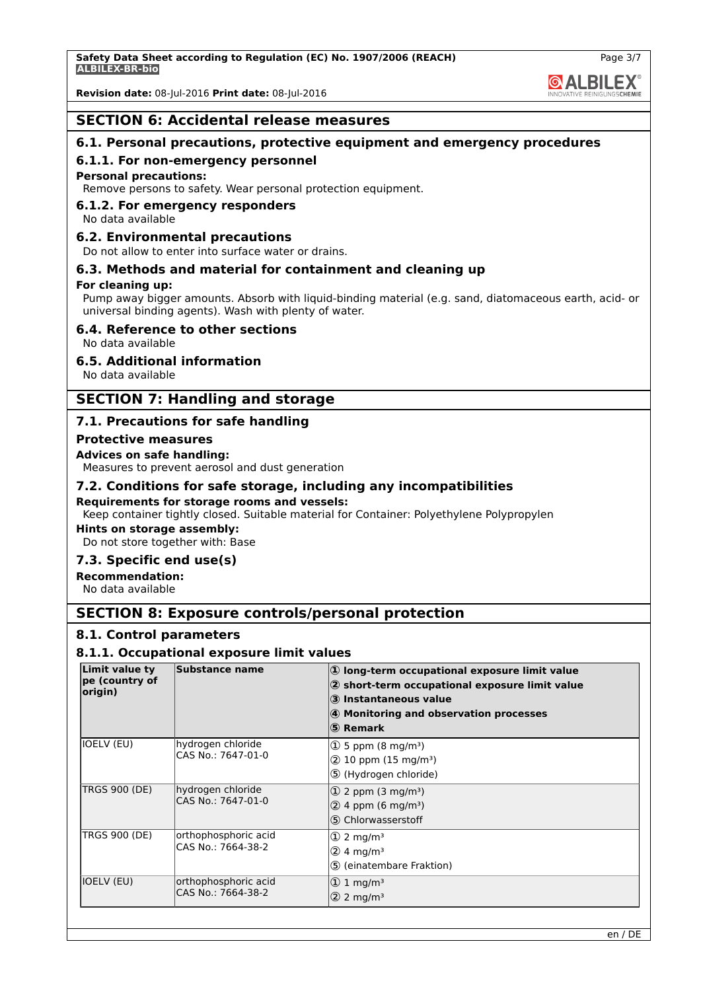## **SECTION 6: Accidental release measures**

## **6.1. Personal precautions, protective equipment and emergency procedures**

#### **6.1.1. For non-emergency personnel**

#### **Personal precautions:**

Remove persons to safety. Wear personal protection equipment.

## **6.1.2. For emergency responders**

No data available

#### **6.2. Environmental precautions**

Do not allow to enter into surface water or drains.

## **6.3. Methods and material for containment and cleaning up**

#### **For cleaning up:**

Pump away bigger amounts. Absorb with liquid-binding material (e.g. sand, diatomaceous earth, acid- or universal binding agents). Wash with plenty of water.

### **6.4. Reference to other sections**

No data available

## **6.5. Additional information**

No data available

## **SECTION 7: Handling and storage**

## **7.1. Precautions for safe handling**

#### **Protective measures**

#### **Advices on safe handling:**

Measures to prevent aerosol and dust generation

### **7.2. Conditions for safe storage, including any incompatibilities**

#### **Requirements for storage rooms and vessels:**

Keep container tightly closed. Suitable material for Container: Polyethylene Polypropylen

## **Hints on storage assembly:**

Do not store together with: Base

## **7.3. Specific end use(s)**

**Recommendation:**

No data available

## **SECTION 8: Exposure controls/personal protection**

#### **8.1. Control parameters**

#### **8.1.1. Occupational exposure limit values**

| <b>Limit value ty</b><br>pe (country of<br>origin) | <b>Substance name</b>                      | $ 0\rangle$ long-term occupational exposure limit value<br>$ 2$ short-term occupational exposure limit value<br>3 Instantaneous value<br>4 Monitoring and observation processes<br>(5) Remark |
|----------------------------------------------------|--------------------------------------------|-----------------------------------------------------------------------------------------------------------------------------------------------------------------------------------------------|
| <b>IOELV (EU)</b>                                  | hydrogen chloride<br>CAS No.: 7647-01-0    | $(1)$ 5 ppm (8 mg/m <sup>3</sup> )<br>$(2)$ 10 ppm (15 mg/m <sup>3</sup> )<br>5 (Hydrogen chloride)                                                                                           |
| <b>TRGS 900 (DE)</b>                               | hydrogen chloride<br>CAS No.: 7647-01-0    | $\vert$ 2 ppm (3 mg/m <sup>3</sup> )<br>$(2)$ 4 ppm (6 mg/m <sup>3</sup> )<br>5 Chlorwasserstoff                                                                                              |
| <b>TRGS 900 (DE)</b>                               | orthophosphoric acid<br>CAS No.: 7664-38-2 | $\textcircled{1}$ 2 mg/m <sup>3</sup><br>$(2)$ 4 mg/m <sup>3</sup><br>5 (einatembare Fraktion)                                                                                                |
| <b>IOELV (EU)</b>                                  | orthophosphoric acid<br>CAS No.: 7664-38-2 | $ 0 \, 1 \, \text{mg/m}^3$<br>$ 2 \rangle$ 2 mg/m <sup>3</sup>                                                                                                                                |



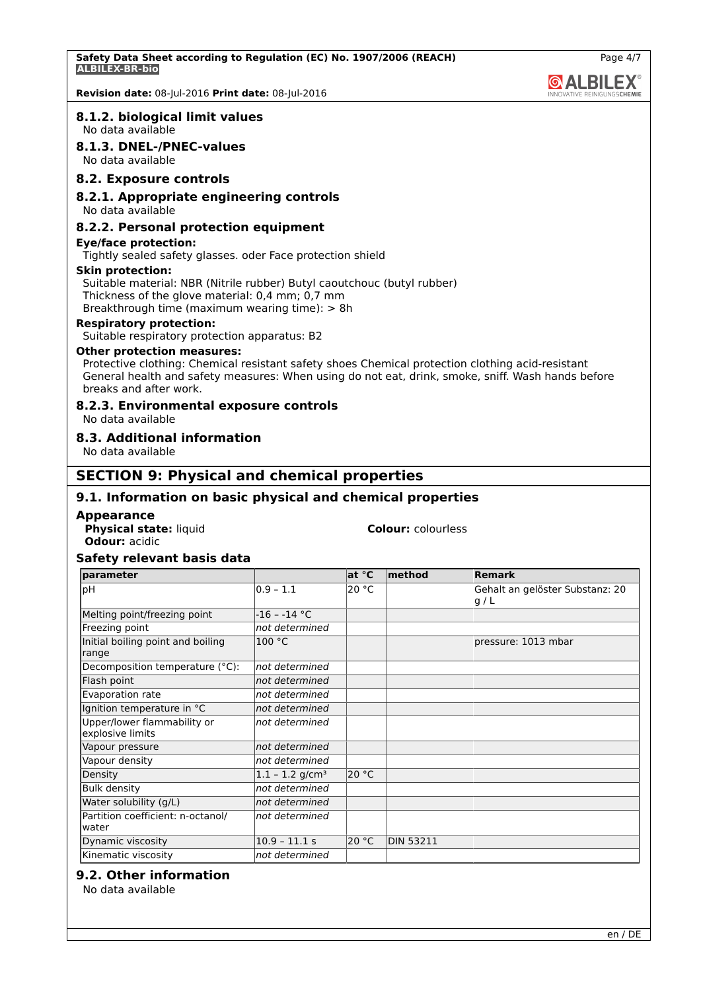#### **8.1.2. biological limit values**

No data available

#### **8.1.3. DNEL-/PNEC-values**

No data available

## **8.2. Exposure controls**

#### **8.2.1. Appropriate engineering controls**

No data available

#### **8.2.2. Personal protection equipment**

**Eye/face protection:**

Tightly sealed safety glasses. oder Face protection shield

#### **Skin protection:**

Suitable material: NBR (Nitrile rubber) Butyl caoutchouc (butyl rubber) Thickness of the glove material: 0,4 mm; 0,7 mm Breakthrough time (maximum wearing time): > 8h

**Respiratory protection:**

Suitable respiratory protection apparatus: B2

#### **Other protection measures:**

Protective clothing: Chemical resistant safety shoes Chemical protection clothing acid-resistant General health and safety measures: When using do not eat, drink, smoke, sniff. Wash hands before breaks and after work.

#### **8.2.3. Environmental exposure controls**

No data available

### **8.3. Additional information**

No data available

## **SECTION 9: Physical and chemical properties**

## **9.1. Information on basic physical and chemical properties**

#### **Appearance**

**Physical state:** liquid **Colour:** colourless **Odour:** acidic

#### **Safety relevant basis data**

| <b>Iparameter</b>                               |                               | at °C | $ $ method       | <b>Remark</b>                           |
|-------------------------------------------------|-------------------------------|-------|------------------|-----------------------------------------|
| <b>bH</b>                                       | $0.9 - 1.1$                   | 20 °C |                  | Gehalt an gelöster Substanz: 20<br> g/L |
| Melting point/freezing point                    | $-16 - -14$ °C                |       |                  |                                         |
| Freezing point                                  | not determined                |       |                  |                                         |
| Initial boiling point and boiling<br>range      | 100 °C                        |       |                  | pressure: 1013 mbar                     |
| Decomposition temperature (°C):                 | not determined                |       |                  |                                         |
| Flash point                                     | not determined                |       |                  |                                         |
| Evaporation rate                                | not determined                |       |                  |                                         |
| Ignition temperature in °C                      | not determined                |       |                  |                                         |
| Upper/lower flammability or<br>explosive limits | not determined                |       |                  |                                         |
| Vapour pressure                                 | not determined                |       |                  |                                         |
| Vapour density                                  | not determined                |       |                  |                                         |
| Density                                         | $1.1 - 1.2$ g/cm <sup>3</sup> | 20 °C |                  |                                         |
| <b>Bulk density</b>                             | not determined                |       |                  |                                         |
| Water solubility (g/L)                          | not determined                |       |                  |                                         |
| Partition coefficient: n-octanol/<br>water      | not determined                |       |                  |                                         |
| Dynamic viscosity                               | $10.9 - 11.1 s$               | 20 °C | <b>DIN 53211</b> |                                         |
| Kinematic viscosity                             | not determined                |       |                  |                                         |

## **9.2. Other information**

No data available

**@ALBILEX**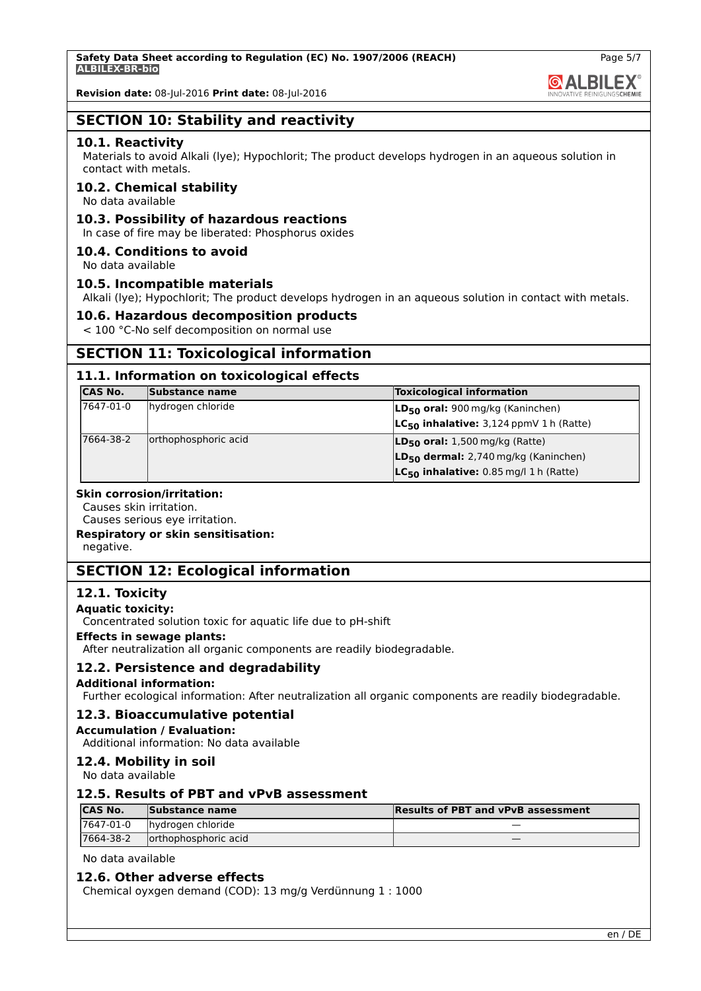

## **SECTION 10: Stability and reactivity**

#### **10.1. Reactivity**

Materials to avoid Alkali (lye); Hypochlorit; The product develops hydrogen in an aqueous solution in contact with metals.

### **10.2. Chemical stability**

No data available

### **10.3. Possibility of hazardous reactions**

In case of fire may be liberated: Phosphorus oxides

### **10.4. Conditions to avoid**

No data available

### **10.5. Incompatible materials**

Alkali (lye); Hypochlorit; The product develops hydrogen in an aqueous solution in contact with metals.

#### **10.6. Hazardous decomposition products**

< 100 °C-No self decomposition on normal use

## **SECTION 11: Toxicological information**

### **11.1. Information on toxicological effects**

| <b>CAS No.</b> | Substance name       | <b>Toxicological information</b>                 |
|----------------|----------------------|--------------------------------------------------|
| 7647-01-0      | hydrogen chloride    | LD <sub>50</sub> oral: 900 mg/kg (Kaninchen)     |
|                |                      | $LC_{50}$ inhalative: 3,124 ppmV 1 h (Ratte)     |
| 7664-38-2      | orthophosphoric acid | $LD_{50}$ oral: 1,500 mg/kg (Ratte)              |
|                |                      | LD <sub>50</sub> dermal: 2,740 mg/kg (Kaninchen) |
|                |                      | $LC_{50}$ inhalative: 0.85 mg/l 1 h (Ratte)      |

#### **Skin corrosion/irritation:**

Causes skin irritation.

Causes serious eye irritation.

**Respiratory or skin sensitisation:**

negative.

## **SECTION 12: Ecological information**

#### **12.1. Toxicity**

#### **Aquatic toxicity:**

Concentrated solution toxic for aquatic life due to pH-shift

#### **Effects in sewage plants:**

After neutralization all organic components are readily biodegradable.

#### **12.2. Persistence and degradability**

#### **Additional information:**

Further ecological information: After neutralization all organic components are readily biodegradable.

#### **12.3. Bioaccumulative potential**

#### **Accumulation / Evaluation:**

Additional information: No data available

## **12.4. Mobility in soil**

No data available

## **12.5. Results of PBT and vPvB assessment**

| <b>CAS No.</b> | Substance name        | <b>Results of PBT and vPvB assessment</b> |
|----------------|-----------------------|-------------------------------------------|
| 17647-01-0     | hydrogen chloride     |                                           |
| 7664-38-2      | lorthophosphoric acid |                                           |

No data available

## **12.6. Other adverse effects**

Chemical oyxgen demand (COD): 13 mg/g Verdünnung 1 : 1000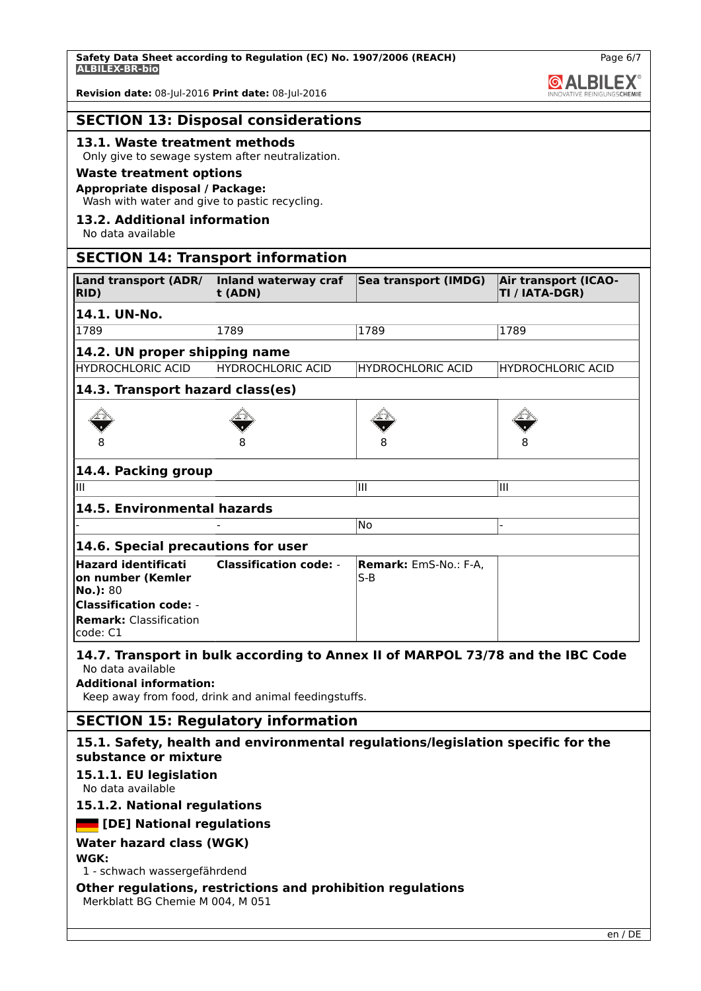## **SECTION 13: Disposal considerations**

## **13.1. Waste treatment methods**

## Only give to sewage system after neutralization.

## **Waste treatment options**

## **Appropriate disposal / Package:**

Wash with water and give to pastic recycling.

## **13.2. Additional information**

No data available

## **SECTION 14: Transport information**

| <b>Land transport (ADR/</b><br>RID)                                                                                                       | Inland waterway craf<br>t (ADN)                                                                                                        | Sea transport (IMDG)           | <b>Air transport (ICAO-</b><br>TI / IATA-DGR) |
|-------------------------------------------------------------------------------------------------------------------------------------------|----------------------------------------------------------------------------------------------------------------------------------------|--------------------------------|-----------------------------------------------|
| 14.1. UN-No.                                                                                                                              |                                                                                                                                        |                                |                                               |
| 1789                                                                                                                                      | 1789                                                                                                                                   | 1789                           | 1789                                          |
| 14.2. UN proper shipping name                                                                                                             |                                                                                                                                        |                                |                                               |
| <b>HYDROCHLORIC ACID</b>                                                                                                                  | <b>HYDROCHLORIC ACID</b>                                                                                                               | <b>HYDROCHLORIC ACID</b>       | <b>HYDROCHLORIC ACID</b>                      |
| 14.3. Transport hazard class(es)                                                                                                          |                                                                                                                                        |                                |                                               |
|                                                                                                                                           |                                                                                                                                        |                                |                                               |
| 14.4. Packing group                                                                                                                       |                                                                                                                                        |                                |                                               |
| Ш                                                                                                                                         |                                                                                                                                        | Ш                              | Ш                                             |
| 14.5. Environmental hazards                                                                                                               |                                                                                                                                        |                                |                                               |
|                                                                                                                                           |                                                                                                                                        | <b>No</b>                      |                                               |
| 14.6. Special precautions for user                                                                                                        |                                                                                                                                        |                                |                                               |
| <b>Hazard identificati</b><br>on number (Kemler<br>No.): 80<br><b>Classification code: -</b><br><b>Remark: Classification</b><br>code: C1 | <b>Classification code: -</b>                                                                                                          | Remark: EmS-No.: F-A,<br>$S-B$ |                                               |
| No data available<br><b>Additional information:</b>                                                                                       | 14.7. Transport in bulk according to Annex II of MARPOL 73/78 and the IBC Code<br>Keep away from food, drink and animal feedingstuffs. |                                |                                               |
|                                                                                                                                           | <b>SECTION 15: Regulatory information</b>                                                                                              |                                |                                               |
|                                                                                                                                           | 15.1. Safety, health and environmental regulations/legislation specific for the                                                        |                                |                                               |

# **substance or mixture**

## **15.1.1. EU legislation**

No data available

## **15.1.2. National regulations**

## **[DE] National regulations**

## **Water hazard class (WGK)**

**WGK:**

1 - schwach wassergefährdend

## **Other regulations, restrictions and prohibition regulations**

Merkblatt BG Chemie M 004, M 051